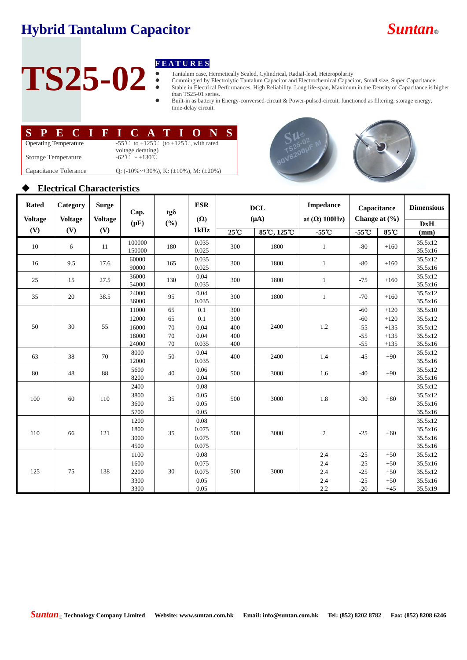# **Hybrid Tantalum Capacitor** *Suntan***®**



# **TS25-02**

- Tantalum case, Hermetically Sealed, Cylindrical, Radial-lead, Heteropolarity
- **F E A T U R E S**<br>■ Tantalum case, F<br>■ Commingled by<br>■ Stable in Electric Commingled by Electrolytic Tantalum Capacitor and Electrochemical Capacitor, Small size, Super Capacitance. Stable in Electrical Performances, High Reliability, Long life-span, Maximum in the Density of Capacitance is higher than TS25-01 series.
	- Built-in as battery in Energy-conversed-circuit & Power-pulsed-circuit, functioned as filtering, storage energy, time-delay circuit.

|                              |  |  |  |  |  |  |                                                                               |  |  |  |  | SPECTED CATEGONS |  |
|------------------------------|--|--|--|--|--|--|-------------------------------------------------------------------------------|--|--|--|--|------------------|--|
| <b>Operating Temperature</b> |  |  |  |  |  |  | -55 <sup>°</sup> C to +125 <sup>°</sup> C (to +125 <sup>°</sup> C, with rated |  |  |  |  |                  |  |
| <b>Storage Temperature</b>   |  |  |  |  |  |  | voltage derating)<br>$-62^{\circ}\text{C} \sim +130^{\circ}\text{C}$          |  |  |  |  |                  |  |
| Capacitance Tolerance        |  |  |  |  |  |  | Q: $(-10\% \sim +30\%)$ , K: $(\pm 10\%)$ , M: $(\pm 20\%)$                   |  |  |  |  |                  |  |





## **Electrical Characteristics**

| <b>Rated</b><br><b>Voltage</b> | Category<br><b>Voltage</b> | <b>Surge</b><br><b>Voltage</b> | Cap.<br>$(\mu F)$            | tgð<br>(%) | <b>ESR</b><br>$(\Omega)$        | <b>DCL</b><br>$(\mu A)$ |                             | <b>Impedance</b><br>at $(\Omega)$ 100Hz) | Capacitance<br>Change at $(\frac{6}{6})$ |        | <b>Dimensions</b><br>DxH                 |
|--------------------------------|----------------------------|--------------------------------|------------------------------|------------|---------------------------------|-------------------------|-----------------------------|------------------------------------------|------------------------------------------|--------|------------------------------------------|
| (V)<br>(V)                     |                            | (V)                            |                              |            | 1kHz                            | $25^{\circ}$ C          | $85^\circ$ C, $125^\circ$ C | $-55^{\circ}$                            | $-55o$                                   | 85°C   | (mm)                                     |
| 10                             | 6                          | 11                             | 100000<br>150000             | 180        | 0.035<br>0.025                  | 300                     | 1800                        | $\mathbf{1}$                             | $-80$                                    | $+160$ | 35.5x12<br>35.5x16                       |
| 16                             | 9.5                        | 17.6                           | 60000<br>90000               | 165        | 0.035<br>0.025                  | 300                     | 1800                        | $\mathbf{1}$                             | $-80$                                    | $+160$ | 35.5x12<br>35.5x16                       |
| 25                             | 15                         | 27.5                           | 36000<br>54000               | 130        | 0.04<br>0.035                   | 300                     | 1800                        | $\mathbf{1}$                             | $-75$                                    | $+160$ | 35.5x12<br>35.5x16                       |
| 35                             | 20                         | 38.5                           | 24000<br>36000               | 95         | 0.04<br>0.035                   | 300                     | 1800                        | $\mathbf{1}$                             | $-70$                                    | $+160$ | 35.5x12<br>35.5x16                       |
|                                |                            |                                | 11000                        | 65         | 0.1                             | 300                     |                             |                                          | $-60$                                    | $+120$ | 35.5x10                                  |
|                                |                            | 55                             | 12000                        | 65         | 0.1                             | 300                     |                             | $1.2\,$                                  | $-60$                                    | $+120$ | 35.5x12                                  |
| 50                             | 30                         |                                | 16000                        | 70         | 0.04                            | 400                     | 2400                        |                                          | $-55$                                    | $+135$ | 35.5x12                                  |
|                                |                            |                                | 18000                        | 70         | 0.04                            | 400                     |                             |                                          | $-55$                                    | $+135$ | 35.5x12                                  |
|                                |                            |                                | 24000                        | 70         | 0.035                           | 400                     |                             |                                          | $-55$                                    | $+135$ | 35.5x16                                  |
| 63                             | 38                         | 70                             | 8000<br>12000                | 50         | 0.04<br>0.035                   | 400                     | 2400                        | 1.4                                      | $-45$                                    | $+90$  | 35.5x12<br>35.5x16                       |
| 80                             | 48                         | 88                             | 5600<br>8200                 | 40         | 0.06<br>0.04                    | 500                     | 3000                        | 1.6                                      | $-40$                                    | $+90$  | 35.5x12<br>35.5x16                       |
| 100                            | 60                         | 110                            | 2400<br>3800<br>3600<br>5700 | 35         | 0.08<br>0.05<br>0.05<br>0.05    | 500                     | 3000                        | 1.8                                      | $-30$                                    | $+80$  | 35.5x12<br>35.5x12<br>35.5x16<br>35.5x16 |
| 110                            | 66                         | 121                            | 1200<br>1800<br>3000<br>4500 | 35         | 0.08<br>0.075<br>0.075<br>0.075 | 500                     | 3000                        | $\mathbf{2}$                             | $-25$                                    | $+60$  | 35.5x12<br>35.5x16<br>35.5x16<br>35.5x16 |
|                                |                            |                                | 1100                         |            | 0.08                            |                         |                             | 2.4                                      | $-25$                                    | $+50$  | 35.5x12                                  |
|                                |                            |                                | 1600                         |            | 0.075                           |                         |                             | 2.4                                      | $-25$                                    | $+50$  | 35.5x16                                  |
| 125                            | 75                         | 138                            | 2200                         | 30         | 0.075                           | 500                     | 3000                        | 2.4                                      | $-25$                                    | $+50$  | 35.5x12                                  |
|                                |                            |                                | 3300                         |            | 0.05                            |                         |                             | 2.4                                      | $-25$                                    | $+50$  | 35.5x16                                  |
|                                |                            |                                | 3300                         |            | 0.05                            |                         |                             | 2.2                                      | $-20$                                    | $+45$  | 35.5x19                                  |